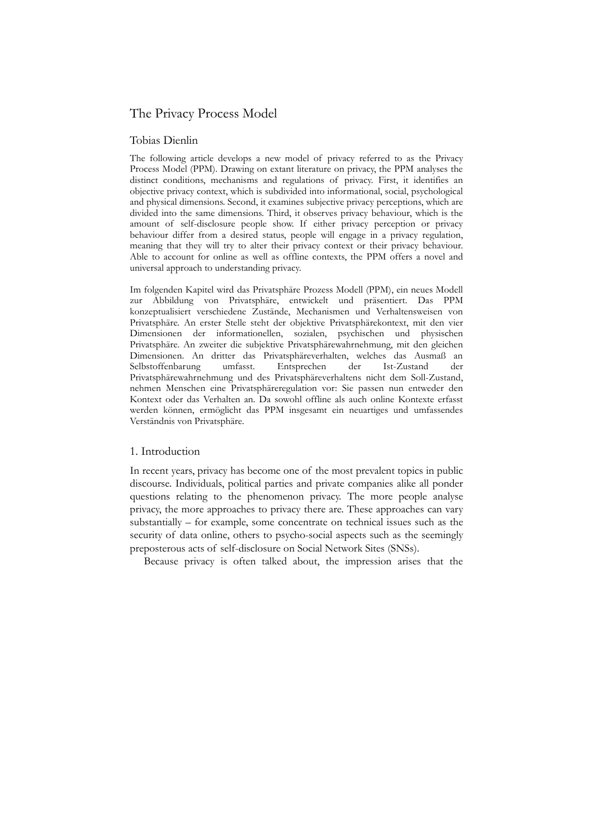# The Privacy Process Model

## Tobias Dienlin

The following article develops a new model of privacy referred to as the Privacy Process Model (PPM). Drawing on extant literature on privacy, the PPM analyses the distinct conditions, mechanisms and regulations of privacy. First, it identifies an objective privacy context, which is subdivided into informational, social, psychological and physical dimensions. Second, it examines subjective privacy perceptions, which are divided into the same dimensions. Third, it observes privacy behaviour, which is the amount of self-disclosure people show. If either privacy perception or privacy behaviour differ from a desired status, people will engage in a privacy regulation, meaning that they will try to alter their privacy context or their privacy behaviour. Able to account for online as well as offline contexts, the PPM offers a novel and universal approach to understanding privacy.

Im folgenden Kapitel wird das Privatsphäre Prozess Modell (PPM), ein neues Modell zur Abbildung von Privatsphäre, entwickelt und präsentiert. Das PPM konzeptualisiert verschiedene Zustände, Mechanismen und Verhaltensweisen von Privatsphäre. An erster Stelle steht der objektive Privatsphärekontext, mit den vier Dimensionen der informationellen, sozialen, psychischen und physischen Privatsphäre. An zweiter die subjektive Privatsphärewahrnehmung, mit den gleichen Dimensionen. An dritter das Privatsphäreverhalten, welches das Ausmaß an Selbstoffenbarung umfasst. Entsprechen der Ist-Zustand der Privatsphärewahrnehmung und des Privatsphäreverhaltens nicht dem Soll-Zustand, nehmen Menschen eine Privatsphäreregulation vor: Sie passen nun entweder den Kontext oder das Verhalten an. Da sowohl offline als auch online Kontexte erfasst werden können, ermöglicht das PPM insgesamt ein neuartiges und umfassendes Verständnis von Privatsphäre.

## 1. Introduction

In recent years, privacy has become one of the most prevalent topics in public discourse. Individuals, political parties and private companies alike all ponder questions relating to the phenomenon privacy. The more people analyse privacy, the more approaches to privacy there are. These approaches can vary substantially – for example, some concentrate on technical issues such as the security of data online, others to psycho-social aspects such as the seemingly preposterous acts of self-disclosure on Social Network Sites (SNSs).

Because privacy is often talked about, the impression arises that the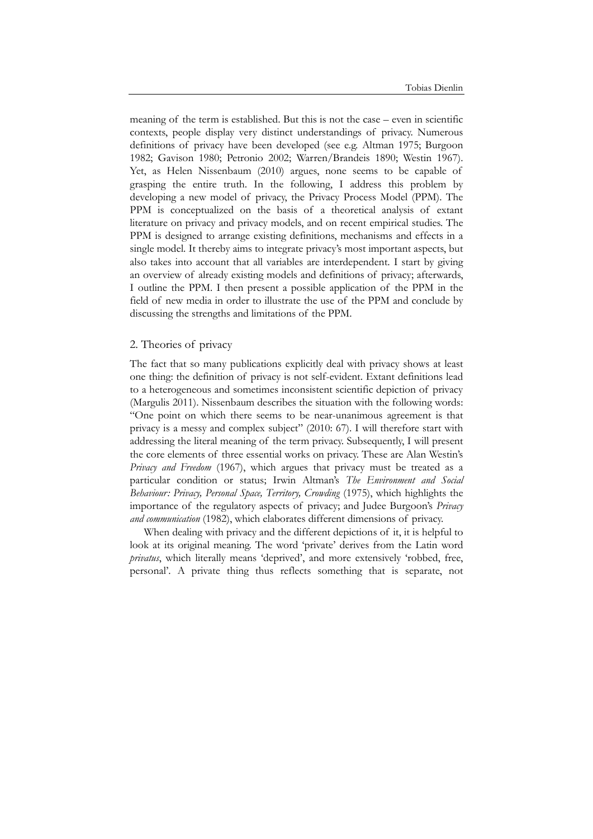meaning of the term is established. But this is not the case – even in scientific contexts, people display very distinct understandings of privacy. Numerous definitions of privacy have been developed (see e.g. Altman 1975; Burgoon 1982; Gavison 1980; Petronio 2002; Warren/Brandeis 1890; Westin 1967). Yet, as Helen Nissenbaum (2010) argues, none seems to be capable of grasping the entire truth. In the following, I address this problem by developing a new model of privacy, the Privacy Process Model (PPM). The PPM is conceptualized on the basis of a theoretical analysis of extant literature on privacy and privacy models, and on recent empirical studies. The PPM is designed to arrange existing definitions, mechanisms and effects in a single model. It thereby aims to integrate privacy's most important aspects, but also takes into account that all variables are interdependent. I start by giving an overview of already existing models and definitions of privacy; afterwards, I outline the PPM. I then present a possible application of the PPM in the field of new media in order to illustrate the use of the PPM and conclude by discussing the strengths and limitations of the PPM.

### 2. Theories of privacy

The fact that so many publications explicitly deal with privacy shows at least one thing: the definition of privacy is not self-evident. Extant definitions lead to a heterogeneous and sometimes inconsistent scientific depiction of privacy (Margulis 2011). Nissenbaum describes the situation with the following words: "One point on which there seems to be near-unanimous agreement is that privacy is a messy and complex subject" (2010: 67). I will therefore start with addressing the literal meaning of the term privacy. Subsequently, I will present the core elements of three essential works on privacy. These are Alan Westin's *Privacy and Freedom* (1967), which argues that privacy must be treated as a particular condition or status; Irwin Altman's *The Environment and Social Behaviour: Privacy, Personal Space, Territory, Crowding* (1975), which highlights the importance of the regulatory aspects of privacy; and Judee Burgoon's *Privacy and communication* (1982), which elaborates different dimensions of privacy.

When dealing with privacy and the different depictions of it, it is helpful to look at its original meaning. The word 'private' derives from the Latin word *privatus*, which literally means 'deprived', and more extensively 'robbed, free, personal'. A private thing thus reflects something that is separate, not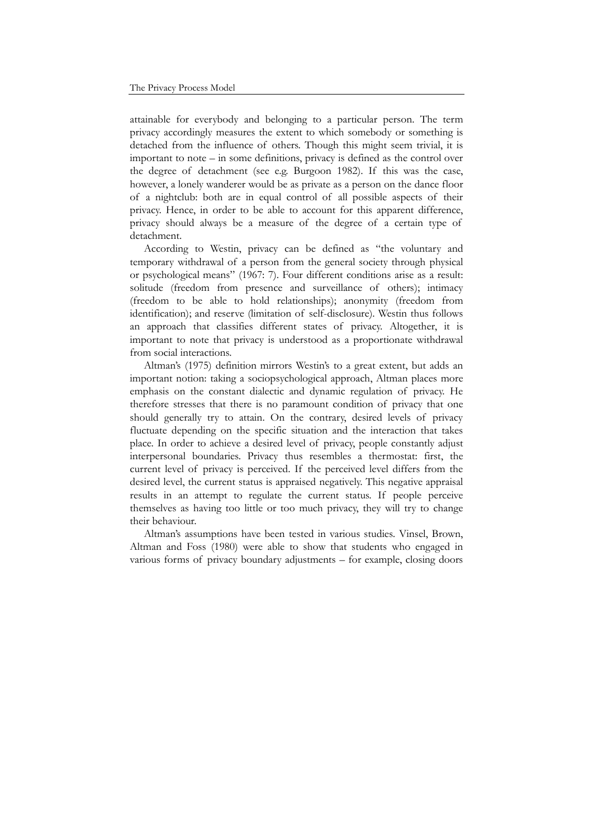attainable for everybody and belonging to a particular person. The term privacy accordingly measures the extent to which somebody or something is detached from the influence of others. Though this might seem trivial, it is important to note – in some definitions, privacy is defined as the control over the degree of detachment (see e.g. Burgoon 1982). If this was the case, however, a lonely wanderer would be as private as a person on the dance floor of a nightclub: both are in equal control of all possible aspects of their privacy. Hence, in order to be able to account for this apparent difference, privacy should always be a measure of the degree of a certain type of detachment.

According to Westin, privacy can be defined as "the voluntary and temporary withdrawal of a person from the general society through physical or psychological means" (1967: 7). Four different conditions arise as a result: solitude (freedom from presence and surveillance of others); intimacy (freedom to be able to hold relationships); anonymity (freedom from identification); and reserve (limitation of self-disclosure). Westin thus follows an approach that classifies different states of privacy. Altogether, it is important to note that privacy is understood as a proportionate withdrawal from social interactions.

Altman's (1975) definition mirrors Westin's to a great extent, but adds an important notion: taking a sociopsychological approach, Altman places more emphasis on the constant dialectic and dynamic regulation of privacy. He therefore stresses that there is no paramount condition of privacy that one should generally try to attain. On the contrary, desired levels of privacy fluctuate depending on the specific situation and the interaction that takes place. In order to achieve a desired level of privacy, people constantly adjust interpersonal boundaries. Privacy thus resembles a thermostat: first, the current level of privacy is perceived. If the perceived level differs from the desired level, the current status is appraised negatively. This negative appraisal results in an attempt to regulate the current status. If people perceive themselves as having too little or too much privacy, they will try to change their behaviour.

Altman's assumptions have been tested in various studies. Vinsel, Brown, Altman and Foss (1980) were able to show that students who engaged in various forms of privacy boundary adjustments – for example, closing doors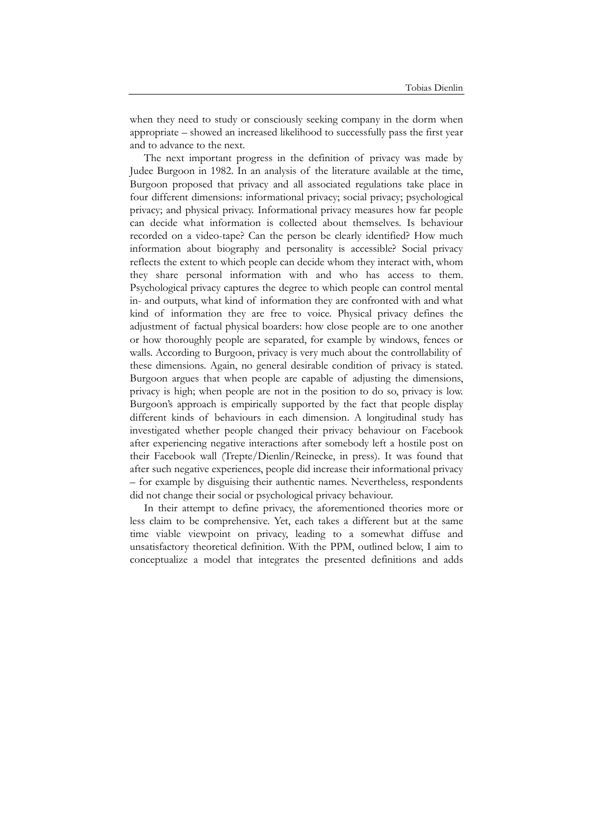when they need to study or consciously seeking company in the dorm when appropriate – showed an increased likelihood to successfully pass the first year and to advance to the next.

The next important progress in the definition of privacy was made by Judee Burgoon in 1982. In an analysis of the literature available at the time, Burgoon proposed that privacy and all associated regulations take place in four different dimensions: informational privacy; social privacy; psychological privacy; and physical privacy. Informational privacy measures how far people can decide what information is collected about themselves. Is behaviour recorded on a video-tape? Can the person be clearly identified? How much information about biography and personality is accessible? Social privacy reflects the extent to which people can decide whom they interact with, whom they share personal information with and who has access to them. Psychological privacy captures the degree to which people can control mental in- and outputs, what kind of information they are confronted with and what kind of information they are free to voice. Physical privacy defines the adjustment of factual physical boarders: how close people are to one another or how thoroughly people are separated, for example by windows, fences or walls. According to Burgoon, privacy is very much about the controllability of these dimensions. Again, no general desirable condition of privacy is stated. Burgoon argues that when people are capable of adjusting the dimensions, privacy is high; when people are not in the position to do so, privacy is low. Burgoon's approach is empirically supported by the fact that people display different kinds of behaviours in each dimension. A longitudinal study has investigated whether people changed their privacy behaviour on Facebook after experiencing negative interactions after somebody left a hostile post on their Facebook wall (Trepte/Dienlin/Reinecke, in press). It was found that after such negative experiences, people did increase their informational privacy – for example by disguising their authentic names. Nevertheless, respondents did not change their social or psychological privacy behaviour.

In their attempt to define privacy, the aforementioned theories more or less claim to be comprehensive. Yet, each takes a different but at the same time viable viewpoint on privacy, leading to a somewhat diffuse and unsatisfactory theoretical definition. With the PPM, outlined below, I aim to conceptualize a model that integrates the presented definitions and adds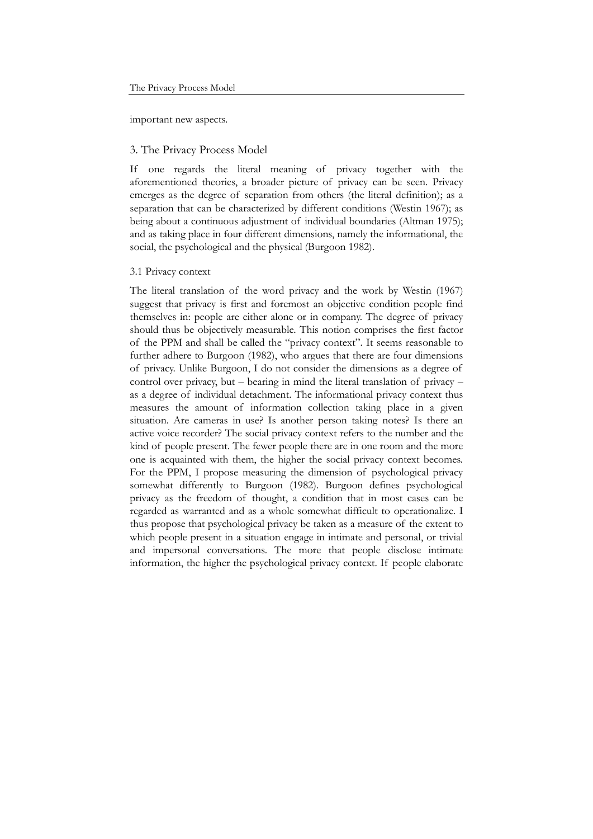important new aspects.

### 3. The Privacy Process Model

If one regards the literal meaning of privacy together with the aforementioned theories, a broader picture of privacy can be seen. Privacy emerges as the degree of separation from others (the literal definition); as a separation that can be characterized by different conditions (Westin 1967); as being about a continuous adjustment of individual boundaries (Altman 1975); and as taking place in four different dimensions, namely the informational, the social, the psychological and the physical (Burgoon 1982).

#### 3.1 Privacy context

The literal translation of the word privacy and the work by Westin (1967) suggest that privacy is first and foremost an objective condition people find themselves in: people are either alone or in company. The degree of privacy should thus be objectively measurable. This notion comprises the first factor of the PPM and shall be called the "privacy context". It seems reasonable to further adhere to Burgoon (1982), who argues that there are four dimensions of privacy. Unlike Burgoon, I do not consider the dimensions as a degree of control over privacy, but – bearing in mind the literal translation of privacy – as a degree of individual detachment. The informational privacy context thus measures the amount of information collection taking place in a given situation. Are cameras in use? Is another person taking notes? Is there an active voice recorder? The social privacy context refers to the number and the kind of people present. The fewer people there are in one room and the more one is acquainted with them, the higher the social privacy context becomes. For the PPM, I propose measuring the dimension of psychological privacy somewhat differently to Burgoon (1982). Burgoon defines psychological privacy as the freedom of thought, a condition that in most cases can be regarded as warranted and as a whole somewhat difficult to operationalize. I thus propose that psychological privacy be taken as a measure of the extent to which people present in a situation engage in intimate and personal, or trivial and impersonal conversations. The more that people disclose intimate information, the higher the psychological privacy context. If people elaborate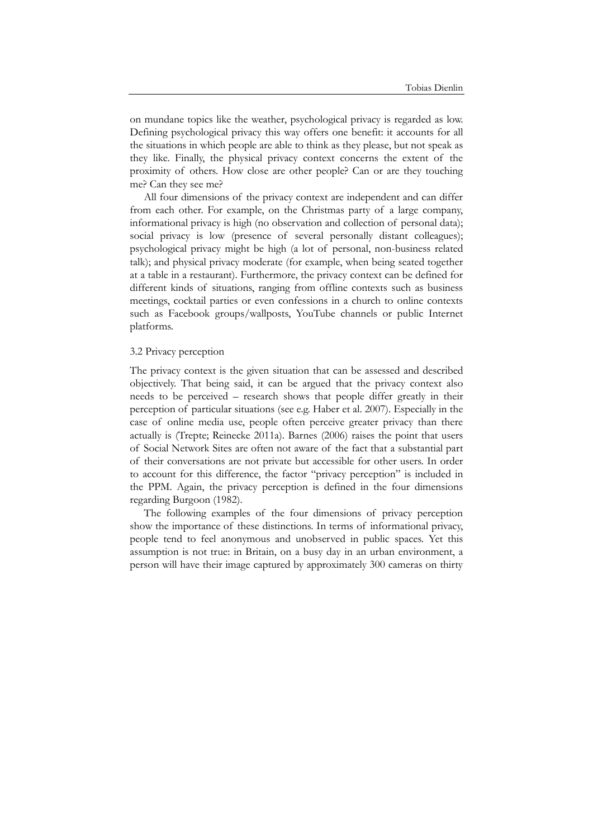on mundane topics like the weather, psychological privacy is regarded as low. Defining psychological privacy this way offers one benefit: it accounts for all the situations in which people are able to think as they please, but not speak as they like. Finally, the physical privacy context concerns the extent of the proximity of others. How close are other people? Can or are they touching me? Can they see me?

All four dimensions of the privacy context are independent and can differ from each other. For example, on the Christmas party of a large company, informational privacy is high (no observation and collection of personal data); social privacy is low (presence of several personally distant colleagues); psychological privacy might be high (a lot of personal, non-business related talk); and physical privacy moderate (for example, when being seated together at a table in a restaurant). Furthermore, the privacy context can be defined for different kinds of situations, ranging from offline contexts such as business meetings, cocktail parties or even confessions in a church to online contexts such as Facebook groups/wallposts, YouTube channels or public Internet platforms.

#### 3.2 Privacy perception

The privacy context is the given situation that can be assessed and described objectively. That being said, it can be argued that the privacy context also needs to be perceived – research shows that people differ greatly in their perception of particular situations (see e.g. Haber et al. 2007). Especially in the case of online media use, people often perceive greater privacy than there actually is (Trepte; Reinecke 2011a). Barnes (2006) raises the point that users of Social Network Sites are often not aware of the fact that a substantial part of their conversations are not private but accessible for other users. In order to account for this difference, the factor "privacy perception" is included in the PPM. Again, the privacy perception is defined in the four dimensions regarding Burgoon (1982).

The following examples of the four dimensions of privacy perception show the importance of these distinctions. In terms of informational privacy, people tend to feel anonymous and unobserved in public spaces. Yet this assumption is not true: in Britain, on a busy day in an urban environment, a person will have their image captured by approximately 300 cameras on thirty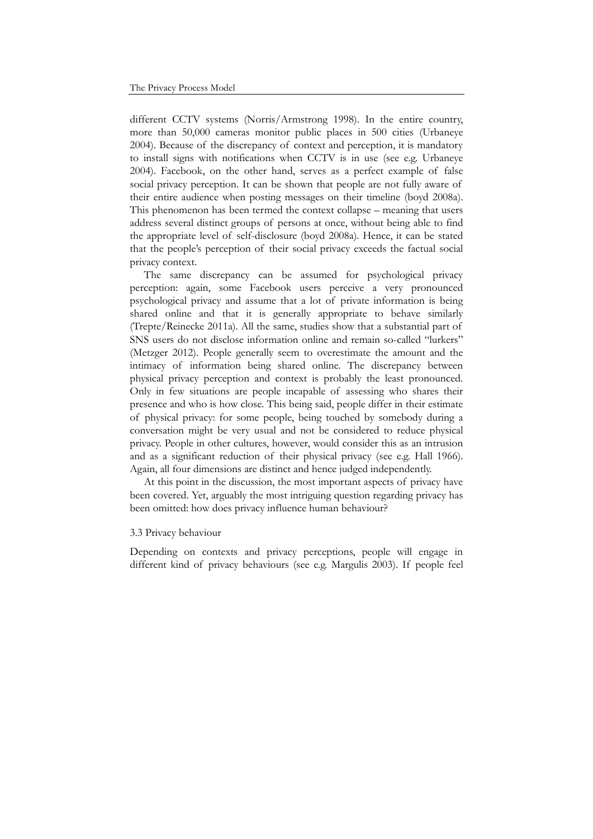different CCTV systems (Norris/Armstrong 1998). In the entire country, more than 50,000 cameras monitor public places in 500 cities (Urbaneye 2004). Because of the discrepancy of context and perception, it is mandatory to install signs with notifications when CCTV is in use (see e.g. Urbaneye 2004). Facebook, on the other hand, serves as a perfect example of false social privacy perception. It can be shown that people are not fully aware of their entire audience when posting messages on their timeline (boyd 2008a). This phenomenon has been termed the context collapse – meaning that users address several distinct groups of persons at once, without being able to find the appropriate level of self-disclosure (boyd 2008a). Hence, it can be stated that the people's perception of their social privacy exceeds the factual social privacy context.

The same discrepancy can be assumed for psychological privacy perception: again, some Facebook users perceive a very pronounced psychological privacy and assume that a lot of private information is being shared online and that it is generally appropriate to behave similarly (Trepte/Reinecke 2011a). All the same, studies show that a substantial part of SNS users do not disclose information online and remain so-called "lurkers" (Metzger 2012). People generally seem to overestimate the amount and the intimacy of information being shared online. The discrepancy between physical privacy perception and context is probably the least pronounced. Only in few situations are people incapable of assessing who shares their presence and who is how close. This being said, people differ in their estimate of physical privacy: for some people, being touched by somebody during a conversation might be very usual and not be considered to reduce physical privacy. People in other cultures, however, would consider this as an intrusion and as a significant reduction of their physical privacy (see e.g. Hall 1966). Again, all four dimensions are distinct and hence judged independently.

At this point in the discussion, the most important aspects of privacy have been covered. Yet, arguably the most intriguing question regarding privacy has been omitted: how does privacy influence human behaviour?

#### 3.3 Privacy behaviour

Depending on contexts and privacy perceptions, people will engage in different kind of privacy behaviours (see e.g. Margulis 2003). If people feel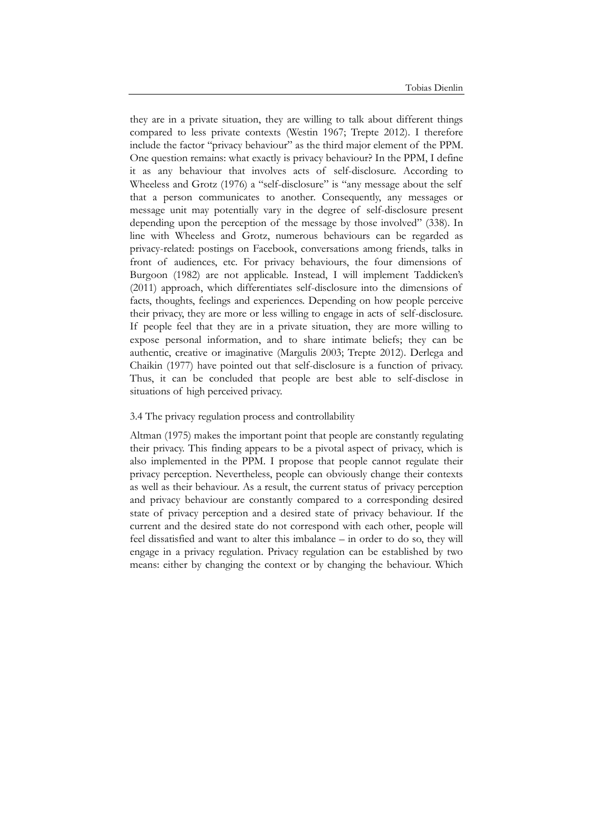they are in a private situation, they are willing to talk about different things compared to less private contexts (Westin 1967; Trepte 2012). I therefore include the factor "privacy behaviour" as the third major element of the PPM. One question remains: what exactly is privacy behaviour? In the PPM, I define it as any behaviour that involves acts of self-disclosure. According to Wheeless and Grotz (1976) a "self-disclosure" is "any message about the self that a person communicates to another. Consequently, any messages or message unit may potentially vary in the degree of self-disclosure present depending upon the perception of the message by those involved" (338). In line with Wheeless and Grotz, numerous behaviours can be regarded as privacy-related: postings on Facebook, conversations among friends, talks in front of audiences, etc. For privacy behaviours, the four dimensions of Burgoon (1982) are not applicable. Instead, I will implement Taddicken's (2011) approach, which differentiates self-disclosure into the dimensions of facts, thoughts, feelings and experiences. Depending on how people perceive their privacy, they are more or less willing to engage in acts of self-disclosure. If people feel that they are in a private situation, they are more willing to expose personal information, and to share intimate beliefs; they can be authentic, creative or imaginative (Margulis 2003; Trepte 2012). Derlega and Chaikin (1977) have pointed out that self-disclosure is a function of privacy. Thus, it can be concluded that people are best able to self-disclose in situations of high perceived privacy.

#### 3.4 The privacy regulation process and controllability

Altman (1975) makes the important point that people are constantly regulating their privacy. This finding appears to be a pivotal aspect of privacy, which is also implemented in the PPM. I propose that people cannot regulate their privacy perception. Nevertheless, people can obviously change their contexts as well as their behaviour. As a result, the current status of privacy perception and privacy behaviour are constantly compared to a corresponding desired state of privacy perception and a desired state of privacy behaviour. If the current and the desired state do not correspond with each other, people will feel dissatisfied and want to alter this imbalance – in order to do so, they will engage in a privacy regulation. Privacy regulation can be established by two means: either by changing the context or by changing the behaviour. Which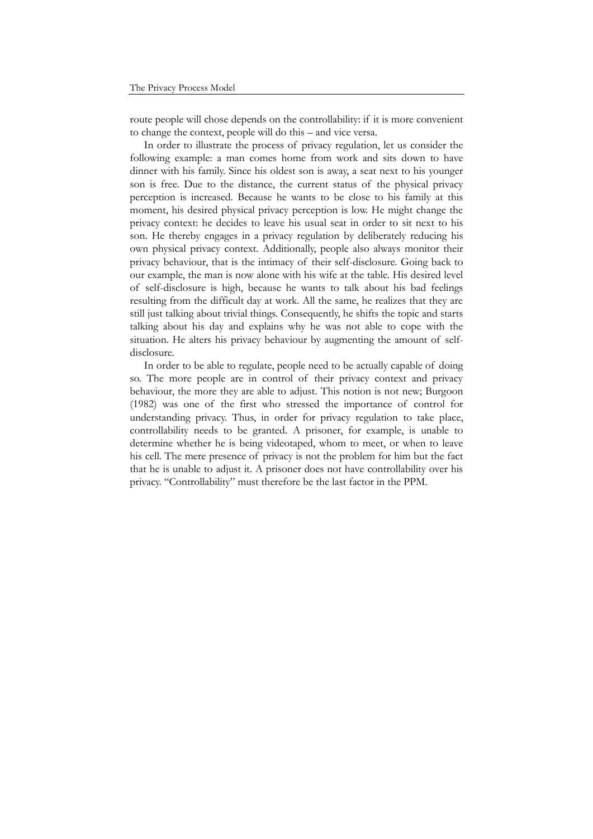route people will chose depends on the controllability: if it is more convenient to change the context, people will do this – and vice versa.

In order to illustrate the process of privacy regulation, let us consider the following example: a man comes home from work and sits down to have dinner with his family. Since his oldest son is away, a seat next to his younger son is free. Due to the distance, the current status of the physical privacy perception is increased. Because he wants to be close to his family at this moment, his desired physical privacy perception is low. He might change the privacy context: he decides to leave his usual seat in order to sit next to his son. He thereby engages in a privacy regulation by deliberately reducing his own physical privacy context. Additionally, people also always monitor their privacy behaviour, that is the intimacy of their self-disclosure. Going back to our example, the man is now alone with his wife at the table. His desired level of self-disclosure is high, because he wants to talk about his bad feelings resulting from the difficult day at work. All the same, he realizes that they are still just talking about trivial things. Consequently, he shifts the topic and starts talking about his day and explains why he was not able to cope with the situation. He alters his privacy behaviour by augmenting the amount of selfdisclosure.

In order to be able to regulate, people need to be actually capable of doing so. The more people are in control of their privacy context and privacy behaviour, the more they are able to adjust. This notion is not new; Burgoon (1982) was one of the first who stressed the importance of control for understanding privacy. Thus, in order for privacy regulation to take place, controllability needs to be granted. A prisoner, for example, is unable to determine whether he is being videotaped, whom to meet, or when to leave his cell. The mere presence of privacy is not the problem for him but the fact that he is unable to adjust it. A prisoner does not have controllability over his privacy. "Controllability" must therefore be the last factor in the PPM.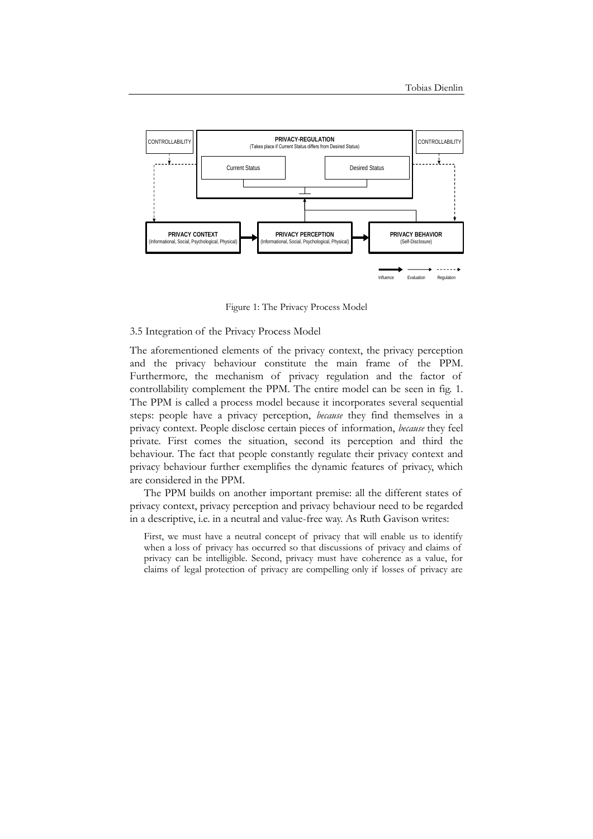

Figure 1: The Privacy Process Model

## 3.5 Integration of the Privacy Process Model

The aforementioned elements of the privacy context, the privacy perception and the privacy behaviour constitute the main frame of the PPM. Furthermore, the mechanism of privacy regulation and the factor of controllability complement the PPM. The entire model can be seen in fig. 1. The PPM is called a process model because it incorporates several sequential steps: people have a privacy perception, *because* they find themselves in a privacy context. People disclose certain pieces of information, *because* they feel private. First comes the situation, second its perception and third the behaviour. The fact that people constantly regulate their privacy context and privacy behaviour further exemplifies the dynamic features of privacy, which are considered in the PPM.

The PPM builds on another important premise: all the different states of privacy context, privacy perception and privacy behaviour need to be regarded in a descriptive, i.e. in a neutral and value-free way. As Ruth Gavison writes:

First, we must have a neutral concept of privacy that will enable us to identify when a loss of privacy has occurred so that discussions of privacy and claims of privacy can be intelligible. Second, privacy must have coherence as a value, for claims of legal protection of privacy are compelling only if losses of privacy are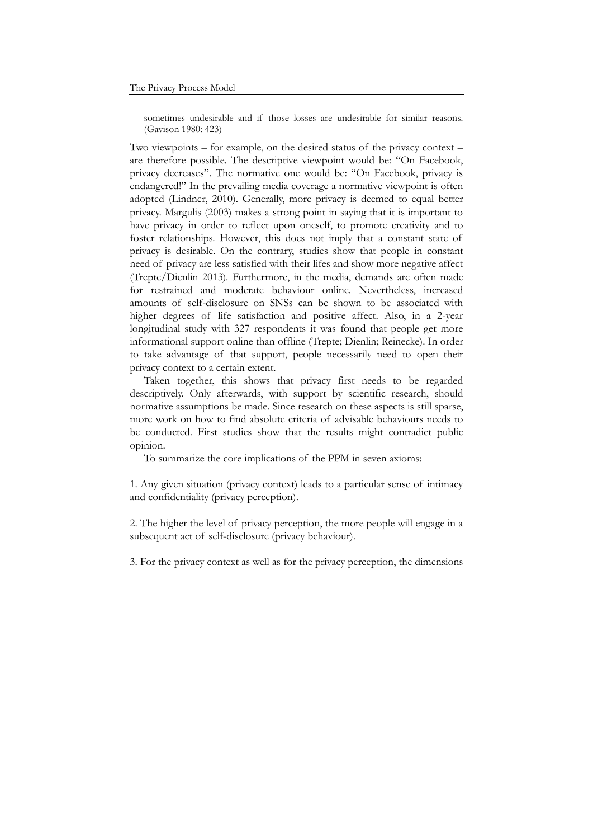sometimes undesirable and if those losses are undesirable for similar reasons. (Gavison 1980: 423)

Two viewpoints – for example, on the desired status of the privacy context – are therefore possible. The descriptive viewpoint would be: "On Facebook, privacy decreases". The normative one would be: "On Facebook, privacy is endangered!" In the prevailing media coverage a normative viewpoint is often adopted (Lindner, 2010). Generally, more privacy is deemed to equal better privacy. Margulis (2003) makes a strong point in saying that it is important to have privacy in order to reflect upon oneself, to promote creativity and to foster relationships. However, this does not imply that a constant state of privacy is desirable. On the contrary, studies show that people in constant need of privacy are less satisfied with their lifes and show more negative affect (Trepte/Dienlin 2013). Furthermore, in the media, demands are often made for restrained and moderate behaviour online. Nevertheless, increased amounts of self-disclosure on SNSs can be shown to be associated with higher degrees of life satisfaction and positive affect. Also, in a 2-year longitudinal study with 327 respondents it was found that people get more informational support online than offline (Trepte; Dienlin; Reinecke). In order to take advantage of that support, people necessarily need to open their privacy context to a certain extent.

Taken together, this shows that privacy first needs to be regarded descriptively. Only afterwards, with support by scientific research, should normative assumptions be made. Since research on these aspects is still sparse, more work on how to find absolute criteria of advisable behaviours needs to be conducted. First studies show that the results might contradict public opinion.

To summarize the core implications of the PPM in seven axioms:

1. Any given situation (privacy context) leads to a particular sense of intimacy and confidentiality (privacy perception).

2. The higher the level of privacy perception, the more people will engage in a subsequent act of self-disclosure (privacy behaviour).

3. For the privacy context as well as for the privacy perception, the dimensions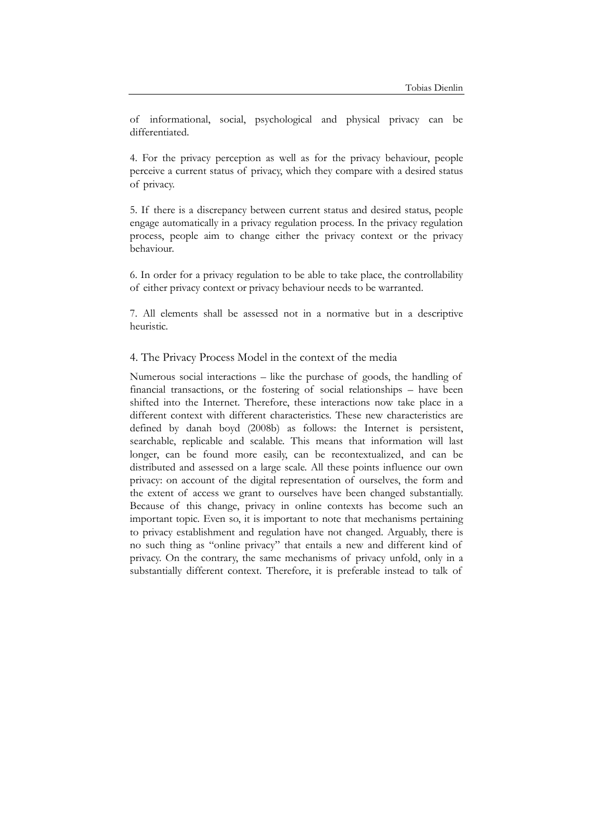of informational, social, psychological and physical privacy can be differentiated.

4. For the privacy perception as well as for the privacy behaviour, people perceive a current status of privacy, which they compare with a desired status of privacy.

5. If there is a discrepancy between current status and desired status, people engage automatically in a privacy regulation process. In the privacy regulation process, people aim to change either the privacy context or the privacy behaviour.

6. In order for a privacy regulation to be able to take place, the controllability of either privacy context or privacy behaviour needs to be warranted.

7. All elements shall be assessed not in a normative but in a descriptive heuristic.

### 4. The Privacy Process Model in the context of the media

Numerous social interactions – like the purchase of goods, the handling of financial transactions, or the fostering of social relationships – have been shifted into the Internet. Therefore, these interactions now take place in a different context with different characteristics. These new characteristics are defined by danah boyd (2008b) as follows: the Internet is persistent, searchable, replicable and scalable. This means that information will last longer, can be found more easily, can be recontextualized, and can be distributed and assessed on a large scale. All these points influence our own privacy: on account of the digital representation of ourselves, the form and the extent of access we grant to ourselves have been changed substantially. Because of this change, privacy in online contexts has become such an important topic. Even so, it is important to note that mechanisms pertaining to privacy establishment and regulation have not changed. Arguably, there is no such thing as "online privacy" that entails a new and different kind of privacy. On the contrary, the same mechanisms of privacy unfold, only in a substantially different context. Therefore, it is preferable instead to talk of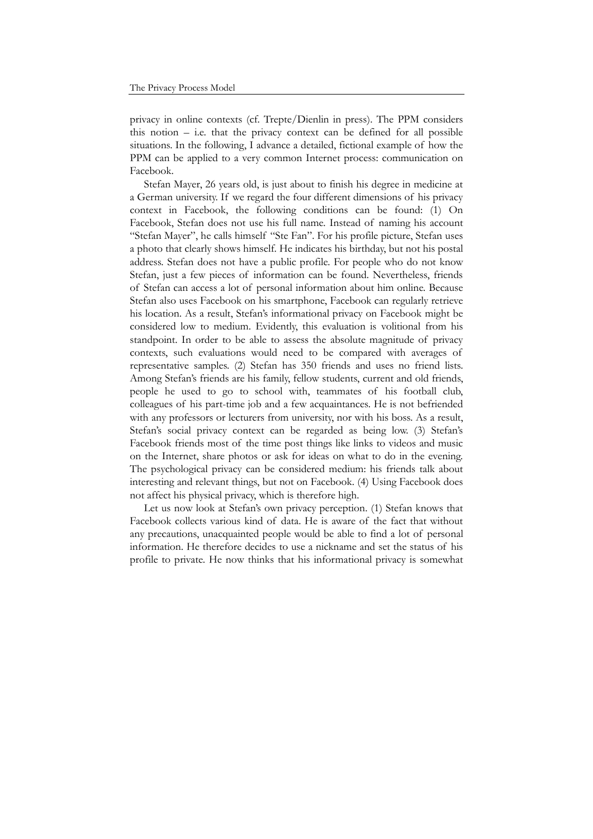privacy in online contexts (cf. Trepte/Dienlin in press). The PPM considers this notion  $-$  i.e. that the privacy context can be defined for all possible situations. In the following, I advance a detailed, fictional example of how the PPM can be applied to a very common Internet process: communication on Facebook.

Stefan Mayer, 26 years old, is just about to finish his degree in medicine at a German university. If we regard the four different dimensions of his privacy context in Facebook, the following conditions can be found: (1) On Facebook, Stefan does not use his full name. Instead of naming his account "Stefan Mayer", he calls himself "Ste Fan". For his profile picture, Stefan uses a photo that clearly shows himself. He indicates his birthday, but not his postal address. Stefan does not have a public profile. For people who do not know Stefan, just a few pieces of information can be found. Nevertheless, friends of Stefan can access a lot of personal information about him online. Because Stefan also uses Facebook on his smartphone, Facebook can regularly retrieve his location. As a result, Stefan's informational privacy on Facebook might be considered low to medium. Evidently, this evaluation is volitional from his standpoint. In order to be able to assess the absolute magnitude of privacy contexts, such evaluations would need to be compared with averages of representative samples. (2) Stefan has 350 friends and uses no friend lists. Among Stefan's friends are his family, fellow students, current and old friends, people he used to go to school with, teammates of his football club, colleagues of his part-time job and a few acquaintances. He is not befriended with any professors or lecturers from university, nor with his boss. As a result, Stefan's social privacy context can be regarded as being low. (3) Stefan's Facebook friends most of the time post things like links to videos and music on the Internet, share photos or ask for ideas on what to do in the evening. The psychological privacy can be considered medium: his friends talk about interesting and relevant things, but not on Facebook. (4) Using Facebook does not affect his physical privacy, which is therefore high.

Let us now look at Stefan's own privacy perception. (1) Stefan knows that Facebook collects various kind of data. He is aware of the fact that without any precautions, unacquainted people would be able to find a lot of personal information. He therefore decides to use a nickname and set the status of his profile to private. He now thinks that his informational privacy is somewhat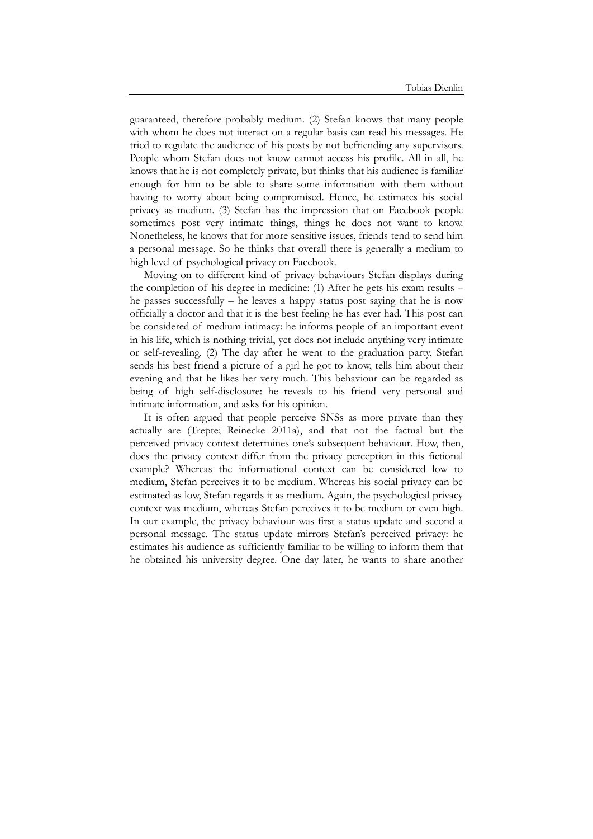guaranteed, therefore probably medium. (2) Stefan knows that many people with whom he does not interact on a regular basis can read his messages. He tried to regulate the audience of his posts by not befriending any supervisors. People whom Stefan does not know cannot access his profile. All in all, he knows that he is not completely private, but thinks that his audience is familiar enough for him to be able to share some information with them without having to worry about being compromised. Hence, he estimates his social privacy as medium. (3) Stefan has the impression that on Facebook people sometimes post very intimate things, things he does not want to know. Nonetheless, he knows that for more sensitive issues, friends tend to send him a personal message. So he thinks that overall there is generally a medium to high level of psychological privacy on Facebook.

Moving on to different kind of privacy behaviours Stefan displays during the completion of his degree in medicine: (1) After he gets his exam results – he passes successfully – he leaves a happy status post saying that he is now officially a doctor and that it is the best feeling he has ever had. This post can be considered of medium intimacy: he informs people of an important event in his life, which is nothing trivial, yet does not include anything very intimate or self-revealing. (2) The day after he went to the graduation party, Stefan sends his best friend a picture of a girl he got to know, tells him about their evening and that he likes her very much. This behaviour can be regarded as being of high self-disclosure: he reveals to his friend very personal and intimate information, and asks for his opinion.

It is often argued that people perceive SNSs as more private than they actually are (Trepte; Reinecke 2011a), and that not the factual but the perceived privacy context determines one's subsequent behaviour. How, then, does the privacy context differ from the privacy perception in this fictional example? Whereas the informational context can be considered low to medium, Stefan perceives it to be medium. Whereas his social privacy can be estimated as low, Stefan regards it as medium. Again, the psychological privacy context was medium, whereas Stefan perceives it to be medium or even high. In our example, the privacy behaviour was first a status update and second a personal message. The status update mirrors Stefan's perceived privacy: he estimates his audience as sufficiently familiar to be willing to inform them that he obtained his university degree. One day later, he wants to share another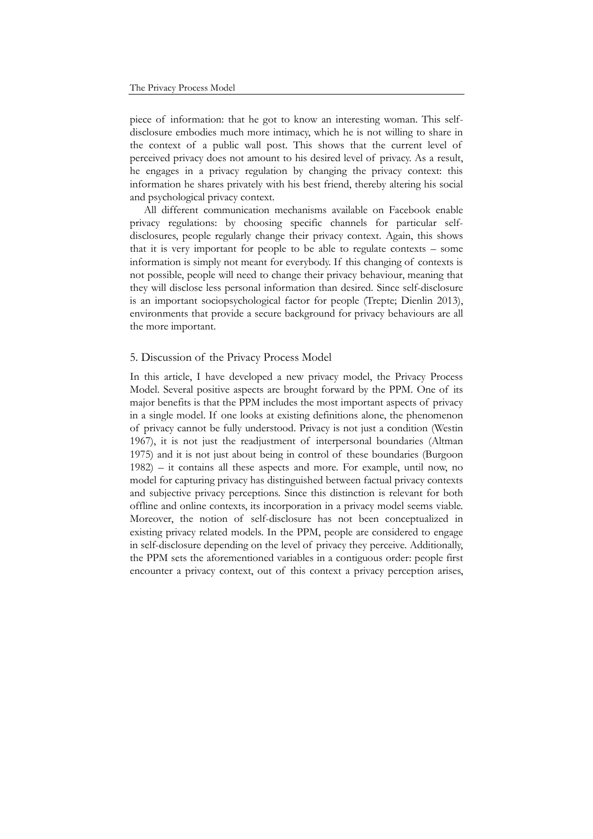piece of information: that he got to know an interesting woman. This selfdisclosure embodies much more intimacy, which he is not willing to share in the context of a public wall post. This shows that the current level of perceived privacy does not amount to his desired level of privacy. As a result, he engages in a privacy regulation by changing the privacy context: this information he shares privately with his best friend, thereby altering his social and psychological privacy context.

All different communication mechanisms available on Facebook enable privacy regulations: by choosing specific channels for particular selfdisclosures, people regularly change their privacy context. Again, this shows that it is very important for people to be able to regulate contexts – some information is simply not meant for everybody. If this changing of contexts is not possible, people will need to change their privacy behaviour, meaning that they will disclose less personal information than desired. Since self-disclosure is an important sociopsychological factor for people (Trepte; Dienlin 2013), environments that provide a secure background for privacy behaviours are all the more important.

### 5. Discussion of the Privacy Process Model

In this article, I have developed a new privacy model, the Privacy Process Model. Several positive aspects are brought forward by the PPM. One of its major benefits is that the PPM includes the most important aspects of privacy in a single model. If one looks at existing definitions alone, the phenomenon of privacy cannot be fully understood. Privacy is not just a condition (Westin 1967), it is not just the readjustment of interpersonal boundaries (Altman 1975) and it is not just about being in control of these boundaries (Burgoon 1982) – it contains all these aspects and more. For example, until now, no model for capturing privacy has distinguished between factual privacy contexts and subjective privacy perceptions. Since this distinction is relevant for both offline and online contexts, its incorporation in a privacy model seems viable. Moreover, the notion of self-disclosure has not been conceptualized in existing privacy related models. In the PPM, people are considered to engage in self-disclosure depending on the level of privacy they perceive. Additionally, the PPM sets the aforementioned variables in a contiguous order: people first encounter a privacy context, out of this context a privacy perception arises,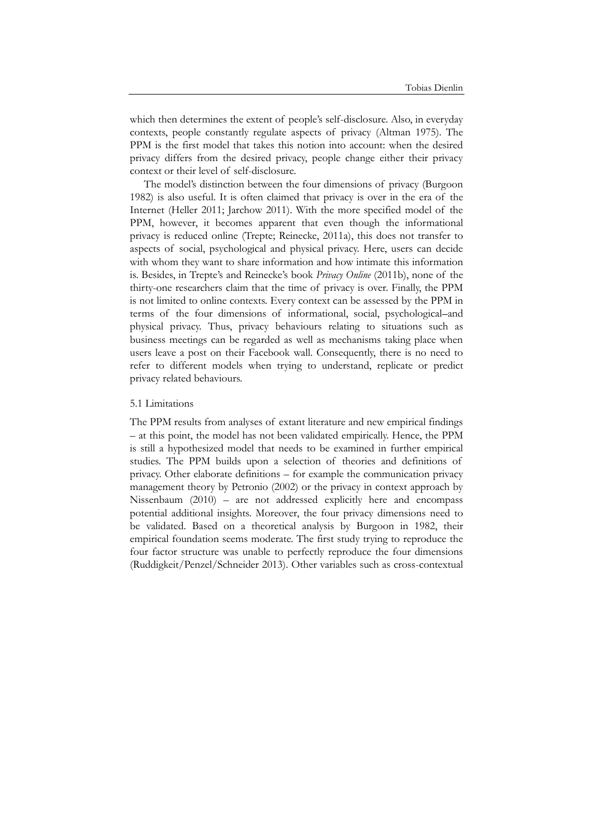which then determines the extent of people's self-disclosure. Also, in everyday contexts, people constantly regulate aspects of privacy (Altman 1975). The PPM is the first model that takes this notion into account: when the desired privacy differs from the desired privacy, people change either their privacy context or their level of self-disclosure.

The model's distinction between the four dimensions of privacy (Burgoon 1982) is also useful. It is often claimed that privacy is over in the era of the Internet (Heller 2011; Jarchow 2011). With the more specified model of the PPM, however, it becomes apparent that even though the informational privacy is reduced online (Trepte; Reinecke, 2011a), this does not transfer to aspects of social, psychological and physical privacy. Here, users can decide with whom they want to share information and how intimate this information is. Besides, in Trepte's and Reinecke's book *Privacy Online* (2011b), none of the thirty-one researchers claim that the time of privacy is over. Finally, the PPM is not limited to online contexts. Every context can be assessed by the PPM in terms of the four dimensions of informational, social, psychological and physical privacy. Thus, privacy behaviours relating to situations such as business meetings can be regarded as well as mechanisms taking place when users leave a post on their Facebook wall. Consequently, there is no need to refer to different models when trying to understand, replicate or predict privacy related behaviours.

#### 5.1 Limitations

The PPM results from analyses of extant literature and new empirical findings – at this point, the model has not been validated empirically. Hence, the PPM is still a hypothesized model that needs to be examined in further empirical studies. The PPM builds upon a selection of theories and definitions of privacy. Other elaborate definitions – for example the communication privacy management theory by Petronio (2002) or the privacy in context approach by Nissenbaum (2010) – are not addressed explicitly here and encompass potential additional insights. Moreover, the four privacy dimensions need to be validated. Based on a theoretical analysis by Burgoon in 1982, their empirical foundation seems moderate. The first study trying to reproduce the four factor structure was unable to perfectly reproduce the four dimensions (Ruddigkeit/Penzel/Schneider 2013). Other variables such as cross-contextual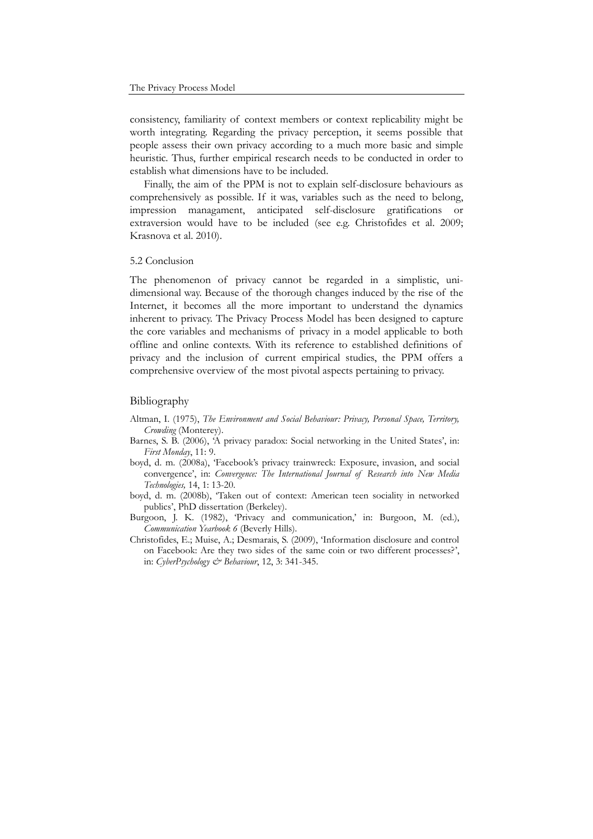consistency, familiarity of context members or context replicability might be worth integrating. Regarding the privacy perception, it seems possible that people assess their own privacy according to a much more basic and simple heuristic. Thus, further empirical research needs to be conducted in order to establish what dimensions have to be included.

Finally, the aim of the PPM is not to explain self-disclosure behaviours as comprehensively as possible. If it was, variables such as the need to belong, impression managament, anticipated self-disclosure gratifications or extraversion would have to be included (see e.g. Christofides et al. 2009; Krasnova et al. 2010).

### 5.2 Conclusion

The phenomenon of privacy cannot be regarded in a simplistic, unidimensional way. Because of the thorough changes induced by the rise of the Internet, it becomes all the more important to understand the dynamics inherent to privacy. The Privacy Process Model has been designed to capture the core variables and mechanisms of privacy in a model applicable to both offline and online contexts. With its reference to established definitions of privacy and the inclusion of current empirical studies, the PPM offers a comprehensive overview of the most pivotal aspects pertaining to privacy.

#### Bibliography

- Altman, I. (1975), *The Environment and Social Behaviour: Privacy, Personal Space, Territory, Crowding* (Monterey).
- Barnes, S. B. (2006), 'A privacy paradox: Social networking in the United States', in: *First Monday*, 11: 9.
- boyd, d. m. (2008a), 'Facebook's privacy trainwreck: Exposure, invasion, and social convergence', in: *Convergence: The International Journal of Research into New Media Technologies,* 14, 1: 13-20.
- boyd, d. m. (2008b), 'Taken out of context: American teen sociality in networked publics', PhD dissertation (Berkeley).
- Burgoon, J. K. (1982), 'Privacy and communication,' in: Burgoon, M. (ed.), *Communication Yearbook 6* (Beverly Hills).
- Christofides, E.; Muise, A.; Desmarais, S. (2009), 'Information disclosure and control on Facebook: Are they two sides of the same coin or two different processes?', in: *CyberPsychology & Behaviour*, 12, 3: 341-345.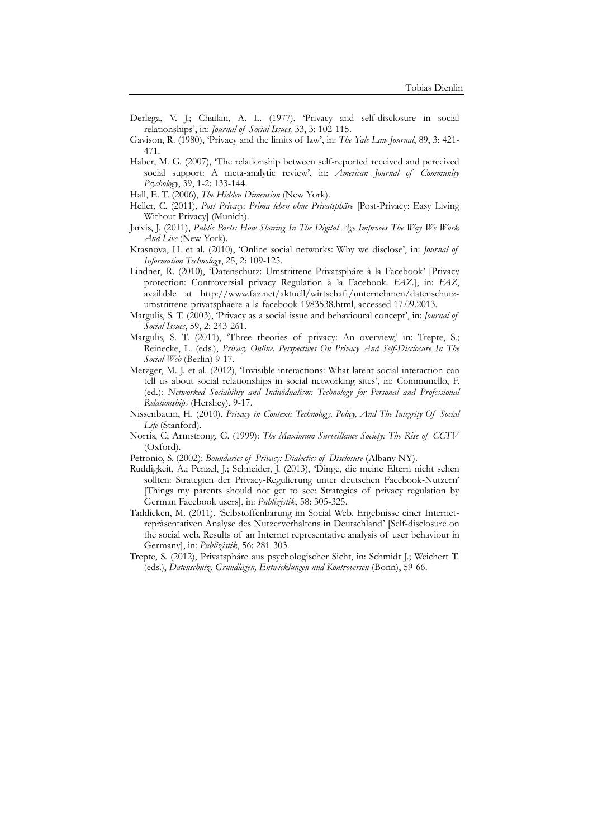- Derlega, V. J.; Chaikin, A. L. (1977), 'Privacy and self-disclosure in social relationships', in: *Journal of Social Issues,* 33, 3: 102-115.
- Gavison, R. (1980), 'Privacy and the limits of law', in: *The Yale Law Journal*, 89, 3: 421- 471.
- Haber, M. G. (2007), 'The relationship between self-reported received and perceived social support: A meta-analytic review', in: *American Journal of Community Psychology*, 39, 1-2: 133-144.
- Hall, E. T. (2006), *The Hidden Dimension* (New York).
- Heller, C. (2011), *Post Privacy: Prima leben ohne Privatsphäre* [Post-Privacy: Easy Living Without Privacy] (Munich).
- Jarvis, J. (2011), *Public Parts: How Sharing In The Digital Age Improves The Way We Work And Live* (New York).
- Krasnova, H. et al. (2010), 'Online social networks: Why we disclose', in: *Journal of Information Technology*, 25, 2: 109-125.
- Lindner, R. (2010), 'Datenschutz: Umstrittene Privatsphäre à la Facebook' [Privacy protection: Controversial privacy Regulation à la Facebook. *FAZ*.], in: *FAZ*, available at http://www.faz.net/aktuell/wirtschaft/unternehmen/datenschutzumstrittene-privatsphaere-a-la-facebook-1983538.html, accessed 17.09.2013.
- Margulis, S. T. (2003), 'Privacy as a social issue and behavioural concept', in: *Journal of Social Issues*, 59, 2: 243-261.
- Margulis, S. T. (2011), 'Three theories of privacy: An overview,' in: Trepte, S.; Reinecke, L. (eds.), *Privacy Online. Perspectives On Privacy And Self-Disclosure In The Social Web* (Berlin) 9-17.
- Metzger, M. J. et al. (2012), 'Invisible interactions: What latent social interaction can tell us about social relationships in social networking sites', in: Communello, F. (ed.): *Networked Sociability and Individualism: Technology for Personal and Professional Relationships* (Hershey), 9-17.
- Nissenbaum, H. (2010), *Privacy in Context: Technology, Policy, And The Integrity Of Social Life* (Stanford).
- Norris, C; Armstrong, G. (1999): *The Maximum Surveillance Society: The Rise of CCTV* (Oxford).
- Petronio, S. (2002): *Boundaries of Privacy: Dialectics of Disclosure* (Albany NY).
- Ruddigkeit, A.; Penzel, J.; Schneider, J. (2013), 'Dinge, die meine Eltern nicht sehen sollten: Strategien der Privacy-Regulierung unter deutschen Facebook-Nutzern' [Things my parents should not get to see: Strategies of privacy regulation by German Facebook users], in: *Publizistik*, 58: 305-325.
- Taddicken, M. (2011), 'Selbstoffenbarung im Social Web. Ergebnisse einer Internetrepräsentativen Analyse des Nutzerverhaltens in Deutschland' [Self-disclosure on the social web. Results of an Internet representative analysis of user behaviour in Germany], in: *Publizistik*, 56: 281-303.
- Trepte, S. (2012), Privatsphäre aus psychologischer Sicht, in: Schmidt J.; Weichert T. (eds.), *Datenschutz. Grundlagen, Entwicklungen und Kontroversen* (Bonn), 59-66.